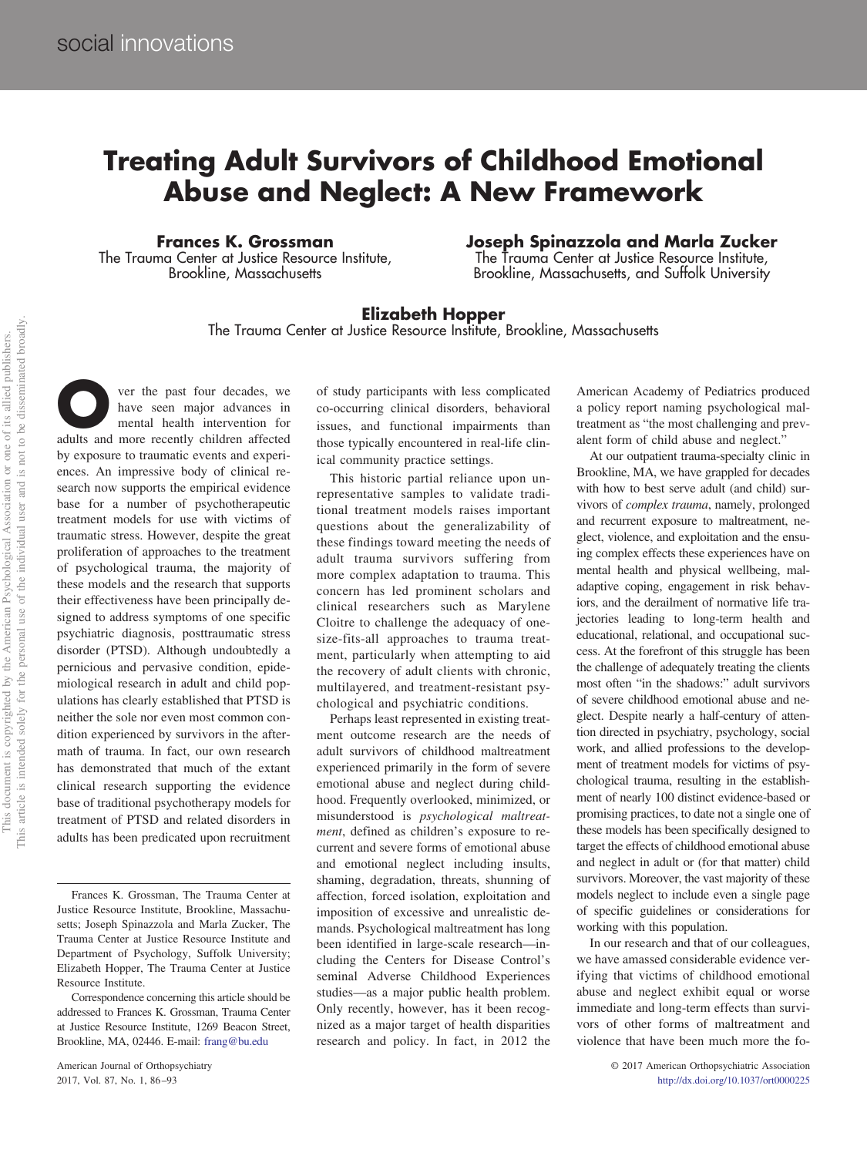# **Treating Adult Survivors of Childhood Emotional Abuse and Neglect: A New Framework**

**Frances K. Grossman** The Trauma Center at Justice Resource Institute, Brookline, Massachusetts

**Joseph Spinazzola and Marla Zucker** The Trauma Center at Justice Resource Institute,

Brookline, Massachusetts, and Suffolk University

#### **Elizabeth Hopper** The Trauma Center at Justice Resource Institute, Brookline, Massachusetts

ver the past four decades, we have seen major advances in mental health intervention for have seen major advances in mental health intervention for adults and more recently children affected by exposure to traumatic events and experiences. An impressive body of clinical research now supports the empirical evidence base for a number of psychotherapeutic treatment models for use with victims of traumatic stress. However, despite the great proliferation of approaches to the treatment of psychological trauma, the majority of these models and the research that supports their effectiveness have been principally designed to address symptoms of one specific psychiatric diagnosis, posttraumatic stress disorder (PTSD). Although undoubtedly a pernicious and pervasive condition, epidemiological research in adult and child populations has clearly established that PTSD is neither the sole nor even most common condition experienced by survivors in the aftermath of trauma. In fact, our own research has demonstrated that much of the extant clinical research supporting the evidence base of traditional psychotherapy models for treatment of PTSD and related disorders in adults has been predicated upon recruitment

of study participants with less complicated co-occurring clinical disorders, behavioral issues, and functional impairments than those typically encountered in real-life clinical community practice settings.

This historic partial reliance upon unrepresentative samples to validate traditional treatment models raises important questions about the generalizability of these findings toward meeting the needs of adult trauma survivors suffering from more complex adaptation to trauma. This concern has led prominent scholars and clinical researchers such as Marylene Cloitre to challenge the adequacy of onesize-fits-all approaches to trauma treatment, particularly when attempting to aid the recovery of adult clients with chronic, multilayered, and treatment-resistant psychological and psychiatric conditions.

Perhaps least represented in existing treatment outcome research are the needs of adult survivors of childhood maltreatment experienced primarily in the form of severe emotional abuse and neglect during childhood. Frequently overlooked, minimized, or misunderstood is *psychological maltreatment*, defined as children's exposure to recurrent and severe forms of emotional abuse and emotional neglect including insults, shaming, degradation, threats, shunning of affection, forced isolation, exploitation and imposition of excessive and unrealistic demands. Psychological maltreatment has long been identified in large-scale research—including the Centers for Disease Control's seminal Adverse Childhood Experiences studies—as a major public health problem. Only recently, however, has it been recognized as a major target of health disparities research and policy. In fact, in 2012 the

American Academy of Pediatrics produced a policy report naming psychological maltreatment as "the most challenging and prevalent form of child abuse and neglect."

At our outpatient trauma-specialty clinic in Brookline, MA, we have grappled for decades with how to best serve adult (and child) survivors of *complex trauma*, namely, prolonged and recurrent exposure to maltreatment, neglect, violence, and exploitation and the ensuing complex effects these experiences have on mental health and physical wellbeing, maladaptive coping, engagement in risk behaviors, and the derailment of normative life trajectories leading to long-term health and educational, relational, and occupational success. At the forefront of this struggle has been the challenge of adequately treating the clients most often "in the shadows:" adult survivors of severe childhood emotional abuse and neglect. Despite nearly a half-century of attention directed in psychiatry, psychology, social work, and allied professions to the development of treatment models for victims of psychological trauma, resulting in the establishment of nearly 100 distinct evidence-based or promising practices, to date not a single one of these models has been specifically designed to target the effects of childhood emotional abuse and neglect in adult or (for that matter) child survivors. Moreover, the vast majority of these models neglect to include even a single page of specific guidelines or considerations for working with this population.

In our research and that of our colleagues, we have amassed considerable evidence verifying that victims of childhood emotional abuse and neglect exhibit equal or worse immediate and long-term effects than survivors of other forms of maltreatment and violence that have been much more the fo-

Frances K. Grossman, The Trauma Center at Justice Resource Institute, Brookline, Massachusetts; Joseph Spinazzola and Marla Zucker, The Trauma Center at Justice Resource Institute and Department of Psychology, Suffolk University; Elizabeth Hopper, The Trauma Center at Justice Resource Institute.

Correspondence concerning this article should be addressed to Frances K. Grossman, Trauma Center at Justice Resource Institute, 1269 Beacon Street, Brookline, MA, 02446. E-mail: [frang@bu.edu](mailto:frang@bu.edu)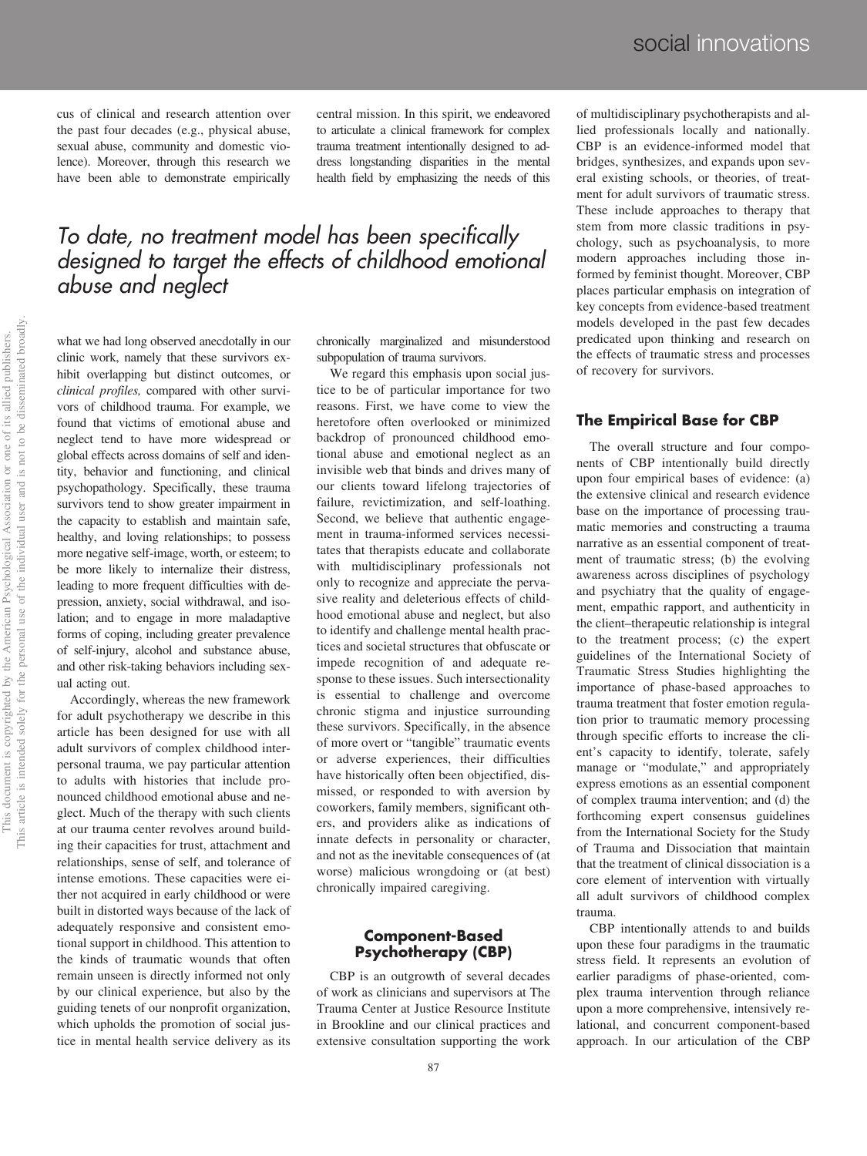cus of clinical and research attention over the past four decades (e.g., physical abuse, sexual abuse, community and domestic violence). Moreover, through this research we have been able to demonstrate empirically

central mission. In this spirit, we endeavored to articulate a clinical framework for complex trauma treatment intentionally designed to address longstanding disparities in the mental health field by emphasizing the needs of this

# *To date, no treatment model has been specifically designed to target the effects of childhood emotional abuse and neglect*

what we had long observed anecdotally in our clinic work, namely that these survivors exhibit overlapping but distinct outcomes, or *clinical profiles,* compared with other survivors of childhood trauma. For example, we found that victims of emotional abuse and neglect tend to have more widespread or global effects across domains of self and identity, behavior and functioning, and clinical psychopathology. Specifically, these trauma survivors tend to show greater impairment in the capacity to establish and maintain safe, healthy, and loving relationships; to possess more negative self-image, worth, or esteem; to be more likely to internalize their distress, leading to more frequent difficulties with depression, anxiety, social withdrawal, and isolation; and to engage in more maladaptive forms of coping, including greater prevalence of self-injury, alcohol and substance abuse, and other risk-taking behaviors including sexual acting out.

Accordingly, whereas the new framework for adult psychotherapy we describe in this article has been designed for use with all adult survivors of complex childhood interpersonal trauma, we pay particular attention to adults with histories that include pronounced childhood emotional abuse and neglect. Much of the therapy with such clients at our trauma center revolves around building their capacities for trust, attachment and relationships, sense of self, and tolerance of intense emotions. These capacities were either not acquired in early childhood or were built in distorted ways because of the lack of adequately responsive and consistent emotional support in childhood. This attention to the kinds of traumatic wounds that often remain unseen is directly informed not only by our clinical experience, but also by the guiding tenets of our nonprofit organization, which upholds the promotion of social justice in mental health service delivery as its

chronically marginalized and misunderstood subpopulation of trauma survivors.

We regard this emphasis upon social justice to be of particular importance for two reasons. First, we have come to view the heretofore often overlooked or minimized backdrop of pronounced childhood emotional abuse and emotional neglect as an invisible web that binds and drives many of our clients toward lifelong trajectories of failure, revictimization, and self-loathing. Second, we believe that authentic engagement in trauma-informed services necessitates that therapists educate and collaborate with multidisciplinary professionals not only to recognize and appreciate the pervasive reality and deleterious effects of childhood emotional abuse and neglect, but also to identify and challenge mental health practices and societal structures that obfuscate or impede recognition of and adequate response to these issues. Such intersectionality is essential to challenge and overcome chronic stigma and injustice surrounding these survivors. Specifically, in the absence of more overt or "tangible" traumatic events or adverse experiences, their difficulties have historically often been objectified, dismissed, or responded to with aversion by coworkers, family members, significant others, and providers alike as indications of innate defects in personality or character, and not as the inevitable consequences of (at worse) malicious wrongdoing or (at best) chronically impaired caregiving.

#### **Component-Based Psychotherapy (CBP)**

CBP is an outgrowth of several decades of work as clinicians and supervisors at The Trauma Center at Justice Resource Institute in Brookline and our clinical practices and extensive consultation supporting the work

of multidisciplinary psychotherapists and allied professionals locally and nationally. CBP is an evidence-informed model that bridges, synthesizes, and expands upon several existing schools, or theories, of treatment for adult survivors of traumatic stress. These include approaches to therapy that stem from more classic traditions in psychology, such as psychoanalysis, to more modern approaches including those informed by feminist thought. Moreover, CBP places particular emphasis on integration of key concepts from evidence-based treatment models developed in the past few decades predicated upon thinking and research on the effects of traumatic stress and processes of recovery for survivors.

### **The Empirical Base for CBP**

The overall structure and four components of CBP intentionally build directly upon four empirical bases of evidence: (a) the extensive clinical and research evidence base on the importance of processing traumatic memories and constructing a trauma narrative as an essential component of treatment of traumatic stress; (b) the evolving awareness across disciplines of psychology and psychiatry that the quality of engagement, empathic rapport, and authenticity in the client–therapeutic relationship is integral to the treatment process; (c) the expert guidelines of the International Society of Traumatic Stress Studies highlighting the importance of phase-based approaches to trauma treatment that foster emotion regulation prior to traumatic memory processing through specific efforts to increase the client's capacity to identify, tolerate, safely manage or "modulate," and appropriately express emotions as an essential component of complex trauma intervention; and (d) the forthcoming expert consensus guidelines from the International Society for the Study of Trauma and Dissociation that maintain that the treatment of clinical dissociation is a core element of intervention with virtually all adult survivors of childhood complex trauma.

CBP intentionally attends to and builds upon these four paradigms in the traumatic stress field. It represents an evolution of earlier paradigms of phase-oriented, complex trauma intervention through reliance upon a more comprehensive, intensively relational, and concurrent component-based approach. In our articulation of the CBP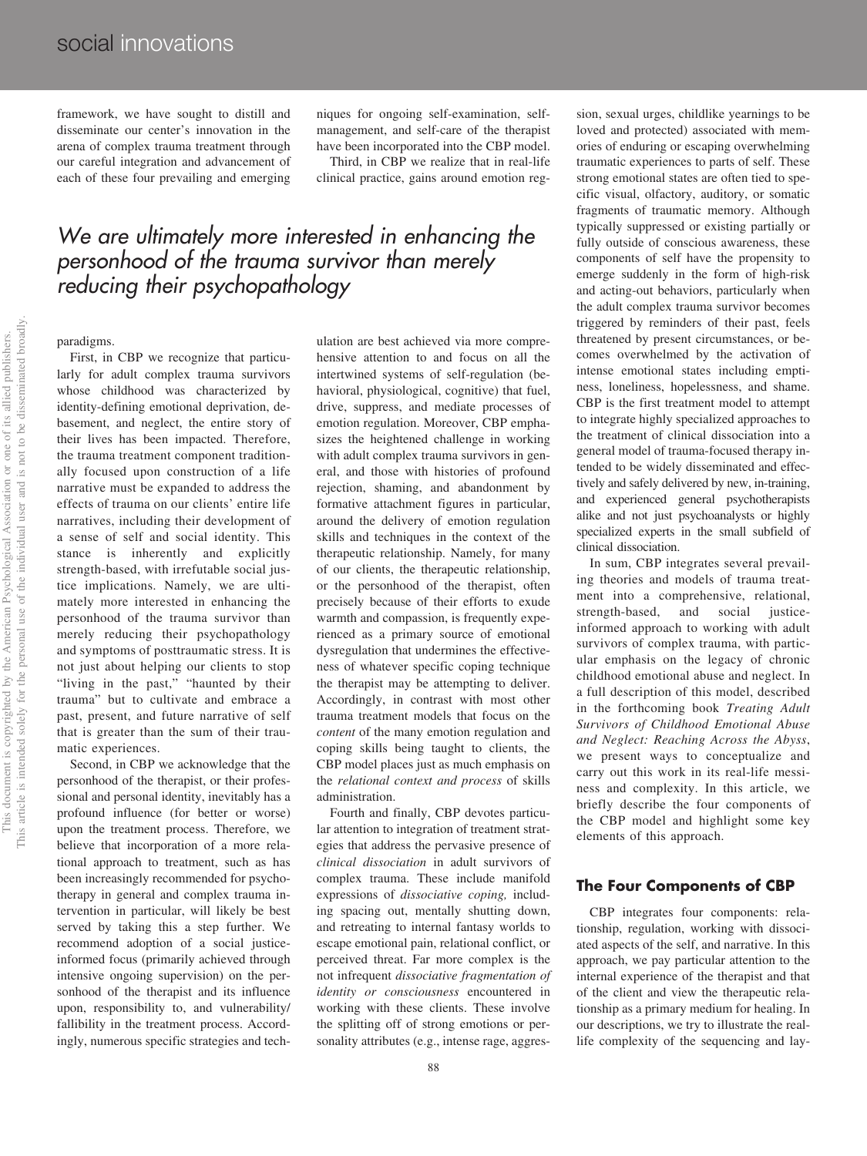framework, we have sought to distill and disseminate our center's innovation in the arena of complex trauma treatment through our careful integration and advancement of each of these four prevailing and emerging

niques for ongoing self-examination, selfmanagement, and self-care of the therapist have been incorporated into the CBP model.

Third, in CBP we realize that in real-life clinical practice, gains around emotion reg-

## *We are ultimately more interested in enhancing the personhood of the trauma survivor than merely reducing their psychopathology*

#### paradigms.

First, in CBP we recognize that particularly for adult complex trauma survivors whose childhood was characterized by identity-defining emotional deprivation, debasement, and neglect, the entire story of their lives has been impacted. Therefore, the trauma treatment component traditionally focused upon construction of a life narrative must be expanded to address the effects of trauma on our clients' entire life narratives, including their development of a sense of self and social identity. This stance is inherently and explicitly strength-based, with irrefutable social justice implications. Namely, we are ultimately more interested in enhancing the personhood of the trauma survivor than merely reducing their psychopathology and symptoms of posttraumatic stress. It is not just about helping our clients to stop "living in the past," "haunted by their trauma" but to cultivate and embrace a past, present, and future narrative of self that is greater than the sum of their traumatic experiences.

Second, in CBP we acknowledge that the personhood of the therapist, or their professional and personal identity, inevitably has a profound influence (for better or worse) upon the treatment process. Therefore, we believe that incorporation of a more relational approach to treatment, such as has been increasingly recommended for psychotherapy in general and complex trauma intervention in particular, will likely be best served by taking this a step further. We recommend adoption of a social justiceinformed focus (primarily achieved through intensive ongoing supervision) on the personhood of the therapist and its influence upon, responsibility to, and vulnerability/ fallibility in the treatment process. Accordingly, numerous specific strategies and techulation are best achieved via more comprehensive attention to and focus on all the intertwined systems of self-regulation (behavioral, physiological, cognitive) that fuel, drive, suppress, and mediate processes of emotion regulation. Moreover, CBP emphasizes the heightened challenge in working with adult complex trauma survivors in general, and those with histories of profound rejection, shaming, and abandonment by formative attachment figures in particular, around the delivery of emotion regulation skills and techniques in the context of the therapeutic relationship. Namely, for many of our clients, the therapeutic relationship, or the personhood of the therapist, often precisely because of their efforts to exude warmth and compassion, is frequently experienced as a primary source of emotional dysregulation that undermines the effectiveness of whatever specific coping technique the therapist may be attempting to deliver. Accordingly, in contrast with most other trauma treatment models that focus on the *content* of the many emotion regulation and coping skills being taught to clients, the CBP model places just as much emphasis on the *relational context and process* of skills administration.

Fourth and finally, CBP devotes particular attention to integration of treatment strategies that address the pervasive presence of *clinical dissociation* in adult survivors of complex trauma. These include manifold expressions of *dissociative coping,* including spacing out, mentally shutting down, and retreating to internal fantasy worlds to escape emotional pain, relational conflict, or perceived threat. Far more complex is the not infrequent *dissociative fragmentation of identity or consciousness* encountered in working with these clients. These involve the splitting off of strong emotions or personality attributes (e.g., intense rage, aggres-

sion, sexual urges, childlike yearnings to be loved and protected) associated with memories of enduring or escaping overwhelming traumatic experiences to parts of self. These strong emotional states are often tied to specific visual, olfactory, auditory, or somatic fragments of traumatic memory. Although typically suppressed or existing partially or fully outside of conscious awareness, these components of self have the propensity to emerge suddenly in the form of high-risk and acting-out behaviors, particularly when the adult complex trauma survivor becomes triggered by reminders of their past, feels threatened by present circumstances, or becomes overwhelmed by the activation of intense emotional states including emptiness, loneliness, hopelessness, and shame. CBP is the first treatment model to attempt to integrate highly specialized approaches to the treatment of clinical dissociation into a general model of trauma-focused therapy intended to be widely disseminated and effectively and safely delivered by new, in-training, and experienced general psychotherapists alike and not just psychoanalysts or highly specialized experts in the small subfield of clinical dissociation.

In sum, CBP integrates several prevailing theories and models of trauma treatment into a comprehensive, relational, strength-based, and social justiceinformed approach to working with adult survivors of complex trauma, with particular emphasis on the legacy of chronic childhood emotional abuse and neglect. In a full description of this model, described in the forthcoming book *Treating Adult Survivors of Childhood Emotional Abuse and Neglect: Reaching Across the Abyss*, we present ways to conceptualize and carry out this work in its real-life messiness and complexity. In this article, we briefly describe the four components of the CBP model and highlight some key elements of this approach.

#### **The Four Components of CBP**

CBP integrates four components: relationship, regulation, working with dissociated aspects of the self, and narrative. In this approach, we pay particular attention to the internal experience of the therapist and that of the client and view the therapeutic relationship as a primary medium for healing. In our descriptions, we try to illustrate the reallife complexity of the sequencing and lay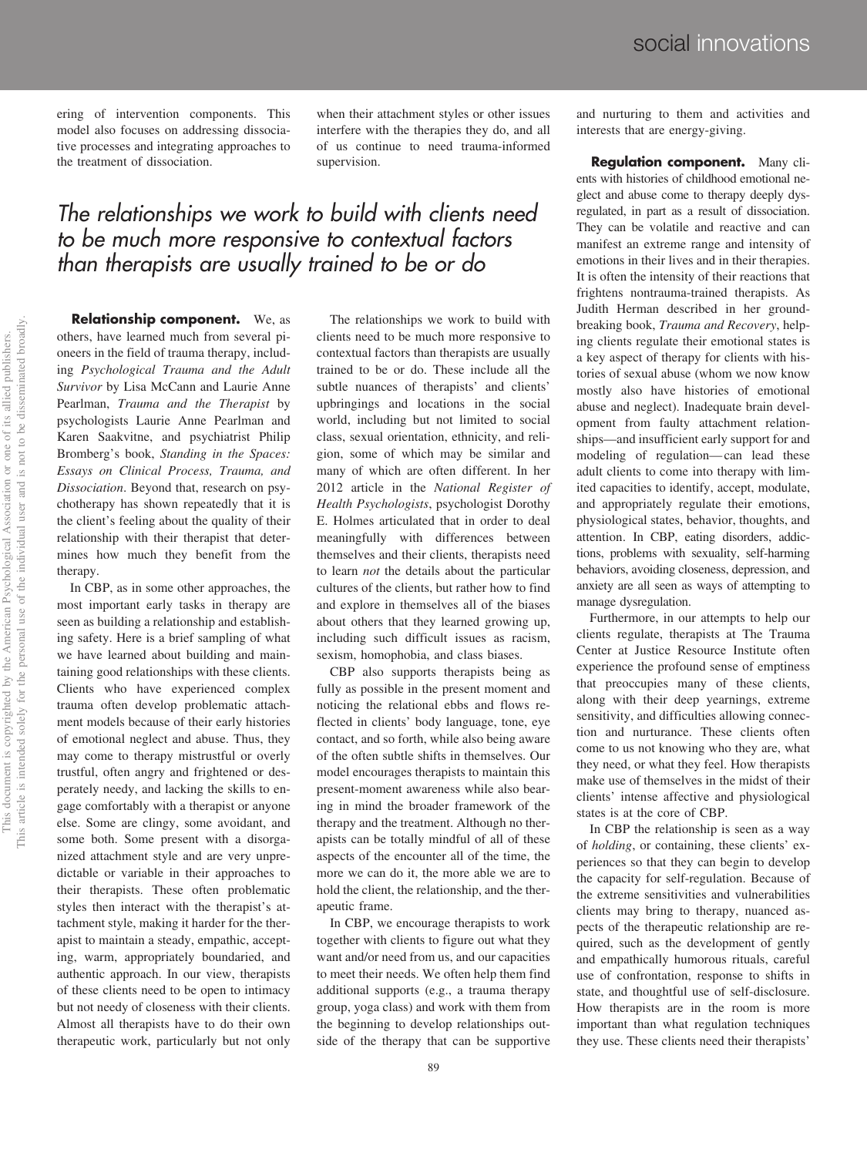ering of intervention components. This model also focuses on addressing dissociative processes and integrating approaches to the treatment of dissociation.

when their attachment styles or other issues interfere with the therapies they do, and all of us continue to need trauma-informed supervision.

# *The relationships we work to build with clients need to be much more responsive to contextual factors than therapists are usually trained to be or do*

**Relationship component.** We, as others, have learned much from several pioneers in the field of trauma therapy, including *Psychological Trauma and the Adult Survivor* by Lisa McCann and Laurie Anne Pearlman, *Trauma and the Therapist* by psychologists Laurie Anne Pearlman and Karen Saakvitne, and psychiatrist Philip Bromberg's book, *Standing in the Spaces: Essays on Clinical Process, Trauma, and Dissociation*. Beyond that, research on psychotherapy has shown repeatedly that it is the client's feeling about the quality of their relationship with their therapist that determines how much they benefit from the therapy.

In CBP, as in some other approaches, the most important early tasks in therapy are seen as building a relationship and establishing safety. Here is a brief sampling of what we have learned about building and maintaining good relationships with these clients. Clients who have experienced complex trauma often develop problematic attachment models because of their early histories of emotional neglect and abuse. Thus, they may come to therapy mistrustful or overly trustful, often angry and frightened or desperately needy, and lacking the skills to engage comfortably with a therapist or anyone else. Some are clingy, some avoidant, and some both. Some present with a disorganized attachment style and are very unpredictable or variable in their approaches to their therapists. These often problematic styles then interact with the therapist's attachment style, making it harder for the therapist to maintain a steady, empathic, accepting, warm, appropriately boundaried, and authentic approach. In our view, therapists of these clients need to be open to intimacy but not needy of closeness with their clients. Almost all therapists have to do their own therapeutic work, particularly but not only

The relationships we work to build with clients need to be much more responsive to contextual factors than therapists are usually trained to be or do. These include all the subtle nuances of therapists' and clients' upbringings and locations in the social world, including but not limited to social class, sexual orientation, ethnicity, and religion, some of which may be similar and many of which are often different. In her 2012 article in the *National Register of Health Psychologists*, psychologist Dorothy E. Holmes articulated that in order to deal meaningfully with differences between themselves and their clients, therapists need to learn *not* the details about the particular cultures of the clients, but rather how to find and explore in themselves all of the biases about others that they learned growing up, including such difficult issues as racism, sexism, homophobia, and class biases.

CBP also supports therapists being as fully as possible in the present moment and noticing the relational ebbs and flows reflected in clients' body language, tone, eye contact, and so forth, while also being aware of the often subtle shifts in themselves. Our model encourages therapists to maintain this present-moment awareness while also bearing in mind the broader framework of the therapy and the treatment. Although no therapists can be totally mindful of all of these aspects of the encounter all of the time, the more we can do it, the more able we are to hold the client, the relationship, and the therapeutic frame.

In CBP, we encourage therapists to work together with clients to figure out what they want and/or need from us, and our capacities to meet their needs. We often help them find additional supports (e.g., a trauma therapy group, yoga class) and work with them from the beginning to develop relationships outside of the therapy that can be supportive

and nurturing to them and activities and interests that are energy-giving.

**Regulation component.** Many clients with histories of childhood emotional neglect and abuse come to therapy deeply dysregulated, in part as a result of dissociation. They can be volatile and reactive and can manifest an extreme range and intensity of emotions in their lives and in their therapies. It is often the intensity of their reactions that frightens nontrauma-trained therapists. As Judith Herman described in her groundbreaking book, *Trauma and Recovery*, helping clients regulate their emotional states is a key aspect of therapy for clients with histories of sexual abuse (whom we now know mostly also have histories of emotional abuse and neglect). Inadequate brain development from faulty attachment relationships—and insufficient early support for and modeling of regulation— can lead these adult clients to come into therapy with limited capacities to identify, accept, modulate, and appropriately regulate their emotions, physiological states, behavior, thoughts, and attention. In CBP, eating disorders, addictions, problems with sexuality, self-harming behaviors, avoiding closeness, depression, and anxiety are all seen as ways of attempting to manage dysregulation.

Furthermore, in our attempts to help our clients regulate, therapists at The Trauma Center at Justice Resource Institute often experience the profound sense of emptiness that preoccupies many of these clients, along with their deep yearnings, extreme sensitivity, and difficulties allowing connection and nurturance. These clients often come to us not knowing who they are, what they need, or what they feel. How therapists make use of themselves in the midst of their clients' intense affective and physiological states is at the core of CBP.

In CBP the relationship is seen as a way of *holding*, or containing, these clients' experiences so that they can begin to develop the capacity for self-regulation. Because of the extreme sensitivities and vulnerabilities clients may bring to therapy, nuanced aspects of the therapeutic relationship are required, such as the development of gently and empathically humorous rituals, careful use of confrontation, response to shifts in state, and thoughtful use of self-disclosure. How therapists are in the room is more important than what regulation techniques they use. These clients need their therapists'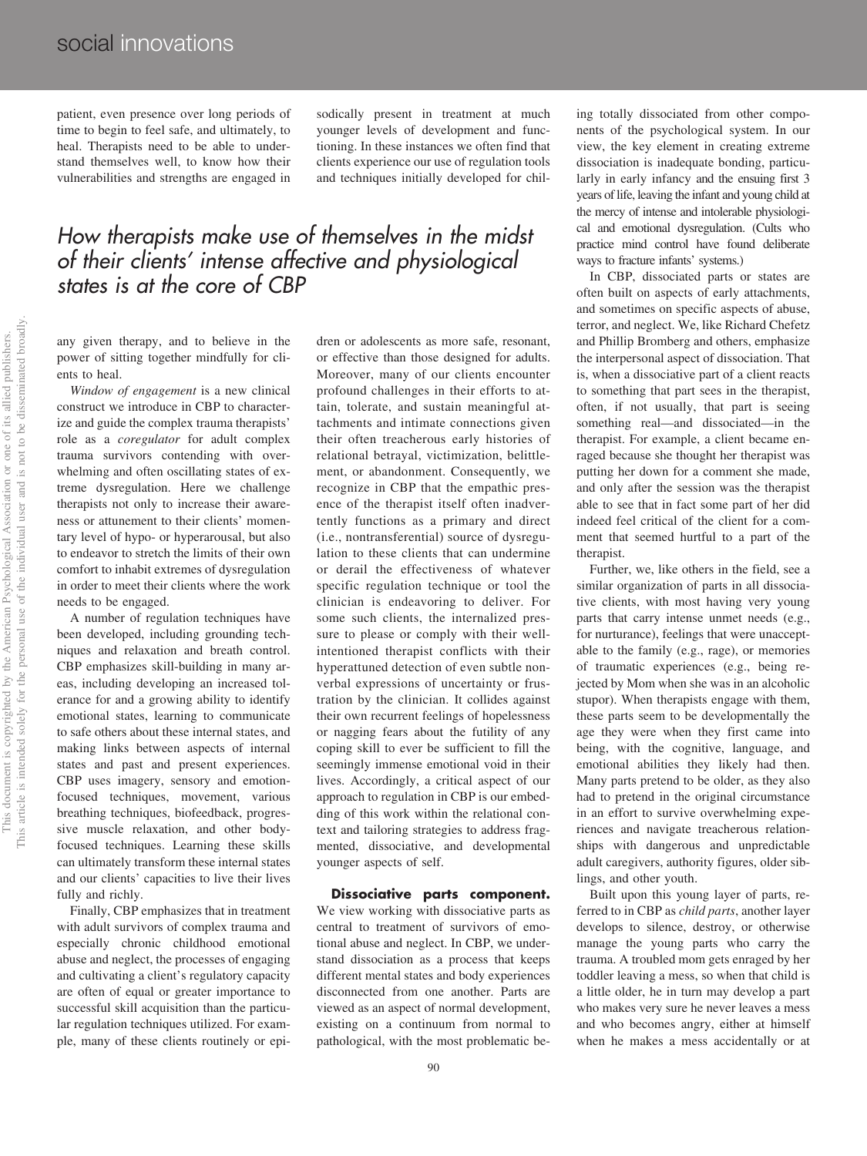patient, even presence over long periods of time to begin to feel safe, and ultimately, to heal. Therapists need to be able to understand themselves well, to know how their vulnerabilities and strengths are engaged in

sodically present in treatment at much younger levels of development and functioning. In these instances we often find that clients experience our use of regulation tools and techniques initially developed for chil-

# *How therapists make use of themselves in the midst of their clients' intense affective and physiological states is at the core of CBP*

any given therapy, and to believe in the power of sitting together mindfully for clients to heal.

*Window of engagement* is a new clinical construct we introduce in CBP to characterize and guide the complex trauma therapists' role as a *coregulator* for adult complex trauma survivors contending with overwhelming and often oscillating states of extreme dysregulation. Here we challenge therapists not only to increase their awareness or attunement to their clients' momentary level of hypo- or hyperarousal, but also to endeavor to stretch the limits of their own comfort to inhabit extremes of dysregulation in order to meet their clients where the work needs to be engaged.

A number of regulation techniques have been developed, including grounding techniques and relaxation and breath control. CBP emphasizes skill-building in many areas, including developing an increased tolerance for and a growing ability to identify emotional states, learning to communicate to safe others about these internal states, and making links between aspects of internal states and past and present experiences. CBP uses imagery, sensory and emotionfocused techniques, movement, various breathing techniques, biofeedback, progressive muscle relaxation, and other bodyfocused techniques. Learning these skills can ultimately transform these internal states and our clients' capacities to live their lives fully and richly.

Finally, CBP emphasizes that in treatment with adult survivors of complex trauma and especially chronic childhood emotional abuse and neglect, the processes of engaging and cultivating a client's regulatory capacity are often of equal or greater importance to successful skill acquisition than the particular regulation techniques utilized. For example, many of these clients routinely or epidren or adolescents as more safe, resonant, or effective than those designed for adults. Moreover, many of our clients encounter profound challenges in their efforts to attain, tolerate, and sustain meaningful attachments and intimate connections given their often treacherous early histories of relational betrayal, victimization, belittlement, or abandonment. Consequently, we recognize in CBP that the empathic presence of the therapist itself often inadvertently functions as a primary and direct (i.e., nontransferential) source of dysregulation to these clients that can undermine or derail the effectiveness of whatever specific regulation technique or tool the clinician is endeavoring to deliver. For some such clients, the internalized pressure to please or comply with their wellintentioned therapist conflicts with their hyperattuned detection of even subtle nonverbal expressions of uncertainty or frustration by the clinician. It collides against their own recurrent feelings of hopelessness or nagging fears about the futility of any coping skill to ever be sufficient to fill the seemingly immense emotional void in their lives. Accordingly, a critical aspect of our approach to regulation in CBP is our embedding of this work within the relational context and tailoring strategies to address fragmented, dissociative, and developmental younger aspects of self.

**Dissociative parts component.** We view working with dissociative parts as central to treatment of survivors of emotional abuse and neglect. In CBP, we understand dissociation as a process that keeps different mental states and body experiences disconnected from one another. Parts are viewed as an aspect of normal development, existing on a continuum from normal to pathological, with the most problematic being totally dissociated from other components of the psychological system. In our view, the key element in creating extreme dissociation is inadequate bonding, particularly in early infancy and the ensuing first 3 years of life, leaving the infant and young child at the mercy of intense and intolerable physiological and emotional dysregulation. (Cults who practice mind control have found deliberate ways to fracture infants' systems.)

In CBP, dissociated parts or states are often built on aspects of early attachments, and sometimes on specific aspects of abuse, terror, and neglect. We, like Richard Chefetz and Phillip Bromberg and others, emphasize the interpersonal aspect of dissociation. That is, when a dissociative part of a client reacts to something that part sees in the therapist, often, if not usually, that part is seeing something real—and dissociated—in the therapist. For example, a client became enraged because she thought her therapist was putting her down for a comment she made, and only after the session was the therapist able to see that in fact some part of her did indeed feel critical of the client for a comment that seemed hurtful to a part of the therapist.

Further, we, like others in the field, see a similar organization of parts in all dissociative clients, with most having very young parts that carry intense unmet needs (e.g., for nurturance), feelings that were unacceptable to the family (e.g., rage), or memories of traumatic experiences (e.g., being rejected by Mom when she was in an alcoholic stupor). When therapists engage with them, these parts seem to be developmentally the age they were when they first came into being, with the cognitive, language, and emotional abilities they likely had then. Many parts pretend to be older, as they also had to pretend in the original circumstance in an effort to survive overwhelming experiences and navigate treacherous relationships with dangerous and unpredictable adult caregivers, authority figures, older siblings, and other youth.

Built upon this young layer of parts, referred to in CBP as *child parts*, another layer develops to silence, destroy, or otherwise manage the young parts who carry the trauma. A troubled mom gets enraged by her toddler leaving a mess, so when that child is a little older, he in turn may develop a part who makes very sure he never leaves a mess and who becomes angry, either at himself when he makes a mess accidentally or at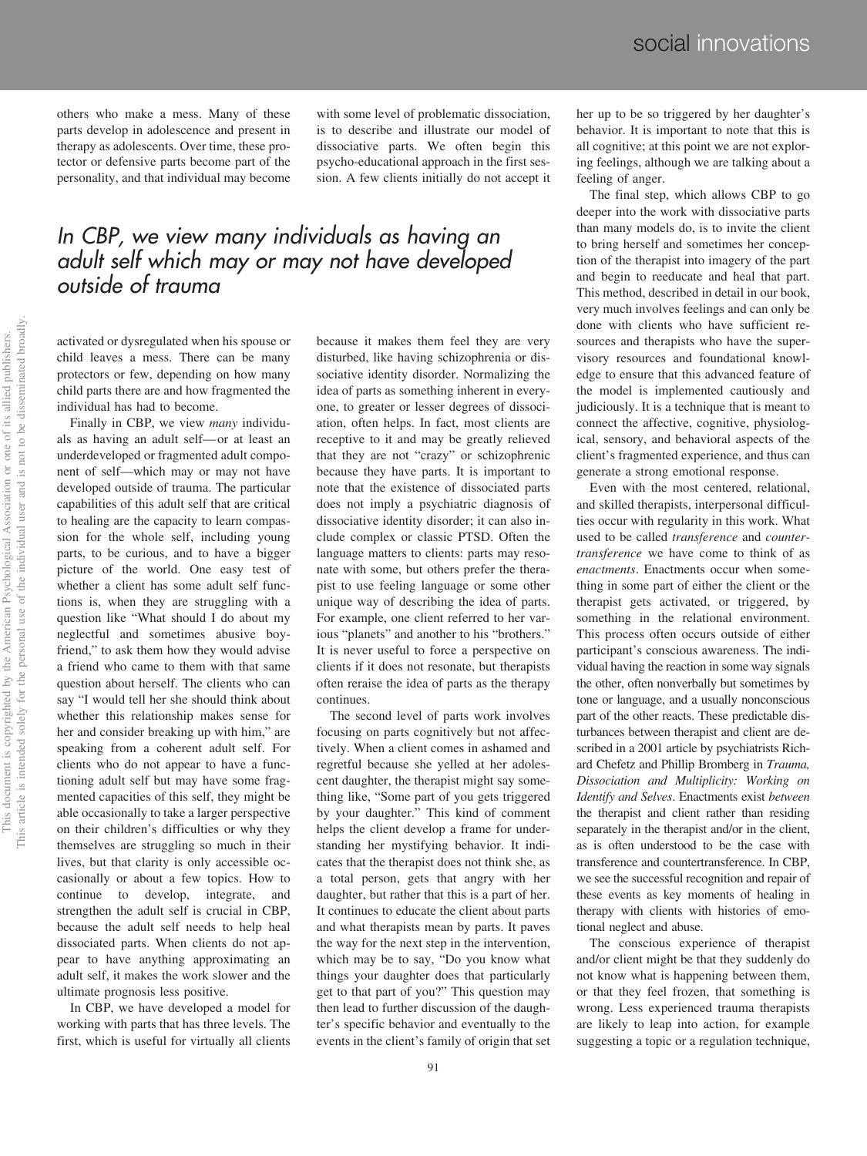others who make a mess. Many of these parts develop in adolescence and present in therapy as adolescents. Over time, these protector or defensive parts become part of the personality, and that individual may become

with some level of problematic dissociation, is to describe and illustrate our model of dissociative parts. We often begin this psycho-educational approach in the first session. A few clients initially do not accept it

## *In CBP, we view many individuals as having an adult self which may or may not have developed outside of trauma*

activated or dysregulated when his spouse or child leaves a mess. There can be many protectors or few, depending on how many child parts there are and how fragmented the individual has had to become.

Finally in CBP, we view *many* individuals as having an adult self— or at least an underdeveloped or fragmented adult component of self—which may or may not have developed outside of trauma. The particular capabilities of this adult self that are critical to healing are the capacity to learn compassion for the whole self, including young parts, to be curious, and to have a bigger picture of the world. One easy test of whether a client has some adult self functions is, when they are struggling with a question like "What should I do about my neglectful and sometimes abusive boyfriend," to ask them how they would advise a friend who came to them with that same question about herself. The clients who can say "I would tell her she should think about whether this relationship makes sense for her and consider breaking up with him," are speaking from a coherent adult self. For clients who do not appear to have a functioning adult self but may have some fragmented capacities of this self, they might be able occasionally to take a larger perspective on their children's difficulties or why they themselves are struggling so much in their lives, but that clarity is only accessible occasionally or about a few topics. How to continue to develop, integrate, and strengthen the adult self is crucial in CBP, because the adult self needs to help heal dissociated parts. When clients do not appear to have anything approximating an adult self, it makes the work slower and the ultimate prognosis less positive.

In CBP, we have developed a model for working with parts that has three levels. The first, which is useful for virtually all clients

because it makes them feel they are very disturbed, like having schizophrenia or dissociative identity disorder. Normalizing the idea of parts as something inherent in everyone, to greater or lesser degrees of dissociation, often helps. In fact, most clients are receptive to it and may be greatly relieved that they are not "crazy" or schizophrenic because they have parts. It is important to note that the existence of dissociated parts does not imply a psychiatric diagnosis of dissociative identity disorder; it can also include complex or classic PTSD. Often the language matters to clients: parts may resonate with some, but others prefer the therapist to use feeling language or some other unique way of describing the idea of parts. For example, one client referred to her various "planets" and another to his "brothers." It is never useful to force a perspective on clients if it does not resonate, but therapists often reraise the idea of parts as the therapy continues.

The second level of parts work involves focusing on parts cognitively but not affectively. When a client comes in ashamed and regretful because she yelled at her adolescent daughter, the therapist might say something like, "Some part of you gets triggered by your daughter." This kind of comment helps the client develop a frame for understanding her mystifying behavior. It indicates that the therapist does not think she, as a total person, gets that angry with her daughter, but rather that this is a part of her. It continues to educate the client about parts and what therapists mean by parts. It paves the way for the next step in the intervention, which may be to say, "Do you know what things your daughter does that particularly get to that part of you?" This question may then lead to further discussion of the daughter's specific behavior and eventually to the events in the client's family of origin that set

her up to be so triggered by her daughter's behavior. It is important to note that this is all cognitive; at this point we are not exploring feelings, although we are talking about a feeling of anger.

The final step, which allows CBP to go deeper into the work with dissociative parts than many models do, is to invite the client to bring herself and sometimes her conception of the therapist into imagery of the part and begin to reeducate and heal that part. This method, described in detail in our book, very much involves feelings and can only be done with clients who have sufficient resources and therapists who have the supervisory resources and foundational knowledge to ensure that this advanced feature of the model is implemented cautiously and judiciously. It is a technique that is meant to connect the affective, cognitive, physiological, sensory, and behavioral aspects of the client's fragmented experience, and thus can generate a strong emotional response.

Even with the most centered, relational, and skilled therapists, interpersonal difficulties occur with regularity in this work. What used to be called *transference* and *countertransference* we have come to think of as *enactments*. Enactments occur when something in some part of either the client or the therapist gets activated, or triggered, by something in the relational environment. This process often occurs outside of either participant's conscious awareness. The individual having the reaction in some way signals the other, often nonverbally but sometimes by tone or language, and a usually nonconscious part of the other reacts. These predictable disturbances between therapist and client are described in a 2001 article by psychiatrists Richard Chefetz and Phillip Bromberg in *Trauma, Dissociation and Multiplicity: Working on Identify and Selves*. Enactments exist *between* the therapist and client rather than residing separately in the therapist and/or in the client, as is often understood to be the case with transference and countertransference. In CBP, we see the successful recognition and repair of these events as key moments of healing in therapy with clients with histories of emotional neglect and abuse.

The conscious experience of therapist and/or client might be that they suddenly do not know what is happening between them, or that they feel frozen, that something is wrong. Less experienced trauma therapists are likely to leap into action, for example suggesting a topic or a regulation technique,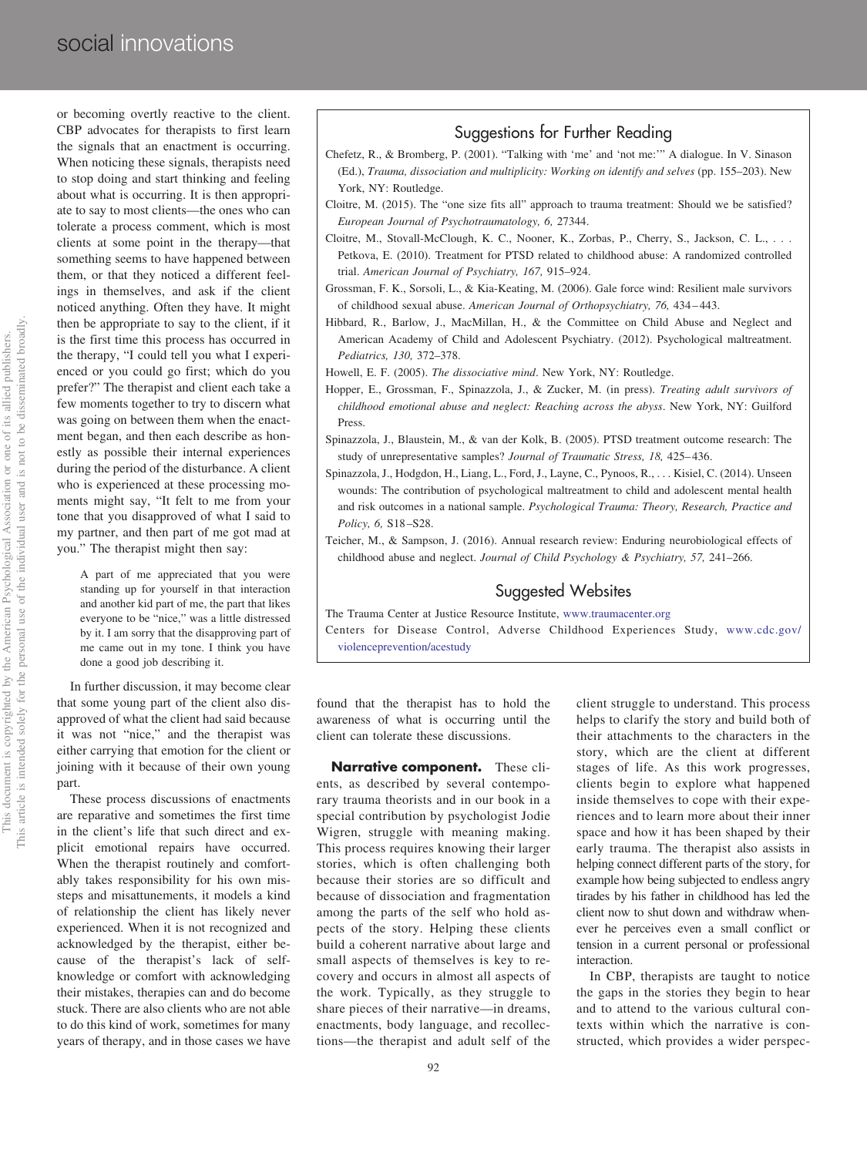or becoming overtly reactive to the client. CBP advocates for therapists to first learn the signals that an enactment is occurring. When noticing these signals, therapists need to stop doing and start thinking and feeling about what is occurring. It is then appropriate to say to most clients—the ones who can tolerate a process comment, which is most clients at some point in the therapy—that something seems to have happened between them, or that they noticed a different feelings in themselves, and ask if the client noticed anything. Often they have. It might then be appropriate to say to the client, if it is the first time this process has occurred in the therapy, "I could tell you what I experienced or you could go first; which do you prefer?" The therapist and client each take a few moments together to try to discern what was going on between them when the enactment began, and then each describe as honestly as possible their internal experiences during the period of the disturbance. A client who is experienced at these processing moments might say, "It felt to me from your tone that you disapproved of what I said to my partner, and then part of me got mad at you." The therapist might then say:

A part of me appreciated that you were standing up for yourself in that interaction and another kid part of me, the part that likes everyone to be "nice," was a little distressed by it. I am sorry that the disapproving part of me came out in my tone. I think you have done a good job describing it.

In further discussion, it may become clear that some young part of the client also disapproved of what the client had said because it was not "nice," and the therapist was either carrying that emotion for the client or joining with it because of their own young part.

These process discussions of enactments are reparative and sometimes the first time in the client's life that such direct and explicit emotional repairs have occurred. When the therapist routinely and comfortably takes responsibility for his own missteps and misattunements, it models a kind of relationship the client has likely never experienced. When it is not recognized and acknowledged by the therapist, either because of the therapist's lack of selfknowledge or comfort with acknowledging their mistakes, therapies can and do become stuck. There are also clients who are not able to do this kind of work, sometimes for many years of therapy, and in those cases we have

### Suggestions for Further Reading

- Chefetz, R., & Bromberg, P. (2001). "Talking with 'me' and 'not me:'" A dialogue. In V. Sinason (Ed.), *Trauma, dissociation and multiplicity: Working on identify and selves* (pp. 155–203). New York, NY: Routledge.
- Cloitre, M. (2015). The "one size fits all" approach to trauma treatment: Should we be satisfied? *European Journal of Psychotraumatology, 6,* 27344.
- Cloitre, M., Stovall-McClough, K. C., Nooner, K., Zorbas, P., Cherry, S., Jackson, C. L.,... Petkova, E. (2010). Treatment for PTSD related to childhood abuse: A randomized controlled trial. *American Journal of Psychiatry, 167,* 915–924.
- Grossman, F. K., Sorsoli, L., & Kia-Keating, M. (2006). Gale force wind: Resilient male survivors of childhood sexual abuse. *American Journal of Orthopsychiatry, 76,* 434 – 443.
- Hibbard, R., Barlow, J., MacMillan, H., & the Committee on Child Abuse and Neglect and American Academy of Child and Adolescent Psychiatry. (2012). Psychological maltreatment. *Pediatrics, 130,* 372–378.
- Howell, E. F. (2005). *The dissociative mind*. New York, NY: Routledge.
- Hopper, E., Grossman, F., Spinazzola, J., & Zucker, M. (in press). *Treating adult survivors of childhood emotional abuse and neglect: Reaching across the abyss*. New York, NY: Guilford Press.
- Spinazzola, J., Blaustein, M., & van der Kolk, B. (2005). PTSD treatment outcome research: The study of unrepresentative samples? *Journal of Traumatic Stress*, 18, 425-436.
- Spinazzola, J., Hodgdon, H., Liang, L., Ford, J., Layne, C., Pynoos, R.,... Kisiel, C. (2014). Unseen wounds: The contribution of psychological maltreatment to child and adolescent mental health and risk outcomes in a national sample. *Psychological Trauma: Theory, Research, Practice and Policy, 6,* S18 –S28.
- Teicher, M., & Sampson, J. (2016). Annual research review: Enduring neurobiological effects of childhood abuse and neglect. *Journal of Child Psychology & Psychiatry, 57,* 241–266.

### Suggested Websites

The Trauma Center at Justice Resource Institute, [www.traumacenter.org](http://www.traumacenter.org)

Centers for Disease Control, Adverse Childhood Experiences Study, [www.cdc.gov/](http://www.cdc.gov/violenceprevention/acestudy) [violenceprevention/acestudy](http://www.cdc.gov/violenceprevention/acestudy)

found that the therapist has to hold the awareness of what is occurring until the client can tolerate these discussions.

**Narrative component.** These clients, as described by several contemporary trauma theorists and in our book in a special contribution by psychologist Jodie Wigren, struggle with meaning making. This process requires knowing their larger stories, which is often challenging both because their stories are so difficult and because of dissociation and fragmentation among the parts of the self who hold aspects of the story. Helping these clients build a coherent narrative about large and small aspects of themselves is key to recovery and occurs in almost all aspects of the work. Typically, as they struggle to share pieces of their narrative—in dreams, enactments, body language, and recollections—the therapist and adult self of the

92

client struggle to understand. This process helps to clarify the story and build both of their attachments to the characters in the story, which are the client at different stages of life. As this work progresses, clients begin to explore what happened inside themselves to cope with their experiences and to learn more about their inner space and how it has been shaped by their early trauma. The therapist also assists in helping connect different parts of the story, for example how being subjected to endless angry tirades by his father in childhood has led the client now to shut down and withdraw whenever he perceives even a small conflict or tension in a current personal or professional interaction.

In CBP, therapists are taught to notice the gaps in the stories they begin to hear and to attend to the various cultural contexts within which the narrative is constructed, which provides a wider perspec